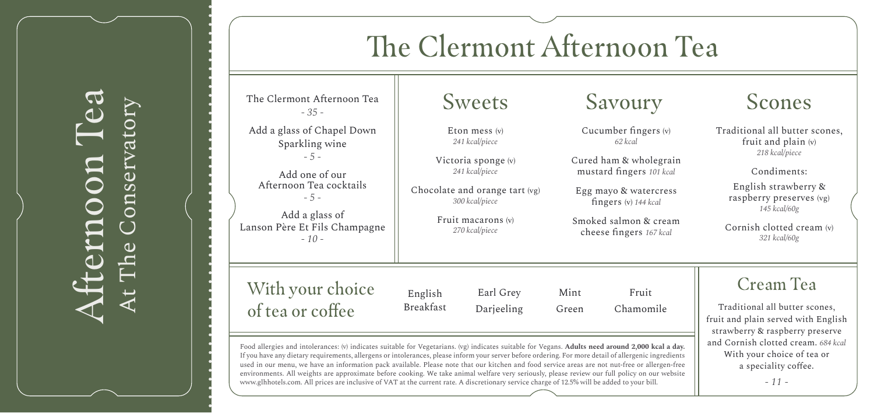# Afternoon Tea At The Conservatory crnoon onser  $\omega$

## The Clermont Afternoon Tea

The Clermont Afternoon Tea *- 35 -*

Add a glass of Chapel Down Sparkling wine *- 5 -*

Add one of our Afternoon Tea cocktails *- 5 -*

Add a glass of Lanson Père Et Fils Champagne *- 10 -*

Eton mess (v) *241 kcal/piece*

Victoria sponge (v) *241 kcal/piece*

Chocolate and orange tart (vg) *300 kcal/piece*

> Fruit macarons (v) *270 kcal/piece*

Cucumber fingers (v) *62 kcal*

Cured ham & wholegrain mustard fingers *101 kcal*

Egg mayo & watercress fingers (v) *144 kcal*

Smoked salmon & cream cheese fingers *167 kcal*

### Sweets Savoury Scones

Traditional all butter scones, fruit and plain (v) *218 kcal/piece*

Condiments:

English strawberry & raspberry preserves (vg) *145 kcal/60g*

Cornish clotted cream (v) *321 kcal/60g*

Cream Tea

Traditional all butter scones, fruit and plain served with English strawberry & raspberry preserve and Cornish clotted cream. *684 kcal* With your choice of tea or a speciality coffee.

*- 11 -*

### With your choice of tea or coffee

English Breakfast Earl G Darieel

| rey  | Mint  | Fruit     |
|------|-------|-----------|
| ling | Green | Chamomile |

Food allergies and intolerances: (v) indicates suitable for Vegetarians. (vg) indicates suitable for Vegans. **Adults need around 2,000 kcal a day.**  If you have any dietary requirements, allergens or intolerances, please inform your server before ordering. For more detail of allergenic ingredients used in our menu, we have an information pack available. Please note that our kitchen and food service areas are not nut-free or allergen-free environments. All weights are approximate before cooking. We take animal welfare very seriously, please review our full policy on our website www.glhhotels.com. All prices are inclusive of VAT at the current rate. A discretionary service charge of 12.5% will be added to your bill.